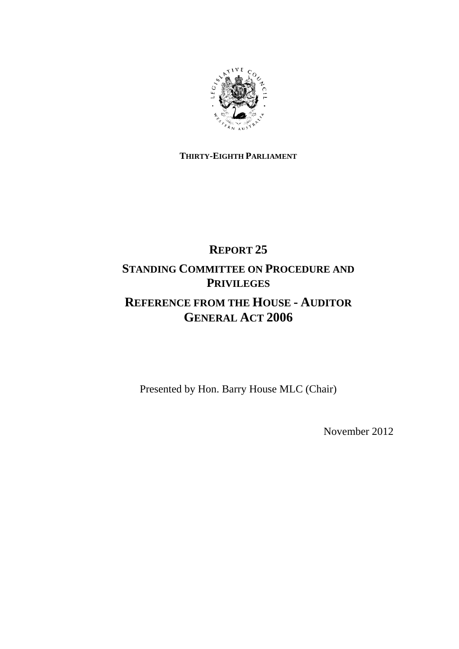

### **THIRTY-EIGHTH PARLIAMENT**

# **REPORT 25 STANDING COMMITTEE ON PROCEDURE AND PRIVILEGES**

# **REFERENCE FROM THE HOUSE - AUDITOR GENERAL ACT 2006**

Presented by Hon. Barry House MLC (Chair)

November 2012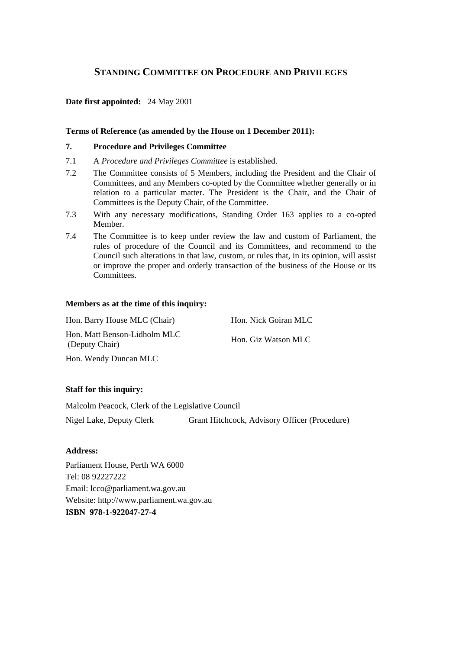### **STANDING COMMITTEE ON PROCEDURE AND PRIVILEGES**

### **Date first appointed:** 24 May 2001

### **Terms of Reference (as amended by the House on 1 December 2011):**

### **7. Procedure and Privileges Committee**

- 7.1 A *Procedure and Privileges Committee* is established.
- 7.2 The Committee consists of 5 Members, including the President and the Chair of Committees, and any Members co-opted by the Committee whether generally or in relation to a particular matter. The President is the Chair, and the Chair of Committees is the Deputy Chair, of the Committee.
- 7.3 With any necessary modifications, Standing Order 163 applies to a co-opted Member.
- 7.4 The Committee is to keep under review the law and custom of Parliament, the rules of procedure of the Council and its Committees, and recommend to the Council such alterations in that law, custom, or rules that, in its opinion, will assist or improve the proper and orderly transaction of the business of the House or its Committees.

### **Members as at the time of this inquiry:**

Hon. Barry House MLC (Chair) Hon. Nick Goiran MLC Hon. Matt Benson-Lidholm MLC Hon. Matt Benson-Lidnom MLC<br>(Deputy Chair) Hon. Giz Watson MLC

Hon. Wendy Duncan MLC

### **Staff for this inquiry:**

Malcolm Peacock, Clerk of the Legislative Council

Nigel Lake, Deputy Clerk Grant Hitchcock, Advisory Officer (Procedure)

### **Address:**

Parliament House, Perth WA 6000 Tel: 08 92227222 Email: lcco@parliament.wa.gov.au Website: http://www.parliament.wa.gov.au **ISBN 978-1-922047-27-4**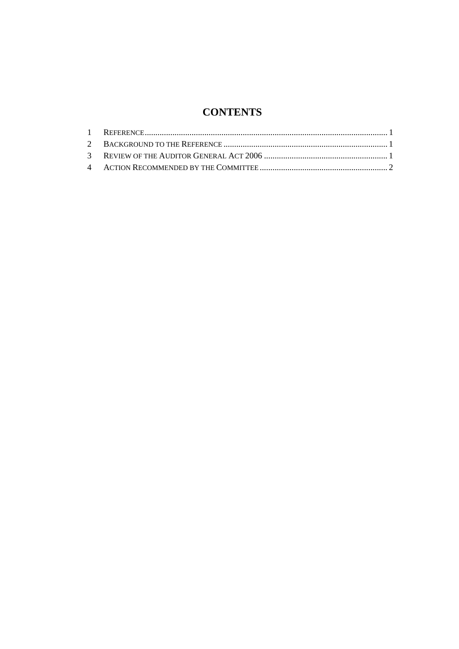## **CONTENTS**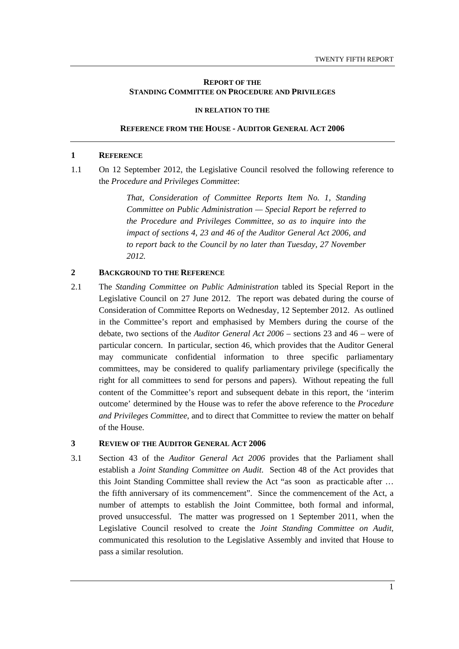### **REPORT OF THE STANDING COMMITTEE ON PROCEDURE AND PRIVILEGES**

#### **IN RELATION TO THE**

#### **REFERENCE FROM THE HOUSE - AUDITOR GENERAL ACT 2006**

### **1 REFERENCE**

1.1 On 12 September 2012, the Legislative Council resolved the following reference to the *Procedure and Privileges Committee*:

> *That, Consideration of Committee Reports Item No. 1, Standing Committee on Public Administration — Special Report be referred to the Procedure and Privileges Committee, so as to inquire into the impact of sections 4, 23 and 46 of the Auditor General Act 2006, and to report back to the Council by no later than Tuesday, 27 November 2012.*

### **2 BACKGROUND TO THE REFERENCE**

2.1 The *Standing Committee on Public Administration* tabled its Special Report in the Legislative Council on 27 June 2012. The report was debated during the course of Consideration of Committee Reports on Wednesday, 12 September 2012. As outlined in the Committee's report and emphasised by Members during the course of the debate, two sections of the *Auditor General Act 2006* – sections 23 and 46 – were of particular concern. In particular, section 46, which provides that the Auditor General may communicate confidential information to three specific parliamentary committees, may be considered to qualify parliamentary privilege (specifically the right for all committees to send for persons and papers). Without repeating the full content of the Committee's report and subsequent debate in this report, the 'interim outcome' determined by the House was to refer the above reference to the *Procedure and Privileges Committee*, and to direct that Committee to review the matter on behalf of the House.

### **3 REVIEW OF THE AUDITOR GENERAL ACT 2006**

3.1 Section 43 of the *Auditor General Act 2006* provides that the Parliament shall establish a *Joint Standing Committee on Audit*. Section 48 of the Act provides that this Joint Standing Committee shall review the Act "as soon as practicable after … the fifth anniversary of its commencement". Since the commencement of the Act, a number of attempts to establish the Joint Committee, both formal and informal, proved unsuccessful. The matter was progressed on 1 September 2011, when the Legislative Council resolved to create the *Joint Standing Committee on Audit*, communicated this resolution to the Legislative Assembly and invited that House to pass a similar resolution.